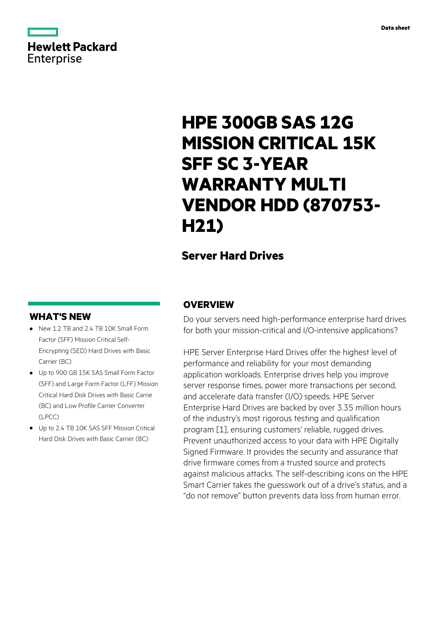# **Hewlett Packard** Enterprise

# **HPE 300GB SAS 12G MISSION CRITICAL 15K SFF SC 3-YEAR WARRANTY MULTI VENDOR HDD (870753- H21)**

# **Server Hard Drives**

### **WHAT'S NEW**

- **·** New 1.2 TB and 2.4 TB 10K Small Form Factor (SFF) Mission Critical Self-Encrypting (SED) Hard Drives with Basic Carrier (BC)
- **·** Up to 900 GB 15K SAS Small Form Factor (SFF) and Large Form Factor (LFF) Mission Critical Hard Disk Drives with Basic Carrie (BC) and Low Profile Carrier Converter (LPCC)
- **·** Up to 2.4 TB 10K SAS SFF Mission Critical Hard Disk Drives with Basic Carrier (BC)

### **OVERVIEW**

Do your servers need high-performance enterprise hard drives for both your mission-critical and I/O-intensive applications?

HPE Server Enterprise Hard Drives offer the highest level of performance and reliability for your most demanding application workloads. Enterprise drives help you improve server response times, power more transactions per second, and accelerate data transfer (I/O) speeds. HPE Server Enterprise Hard Drives are backed by over 3.35 million hours of the industry's most rigorous testing and qualification program [1], ensuring customers' reliable, rugged drives. Prevent unauthorized access to your data with HPE Digitally Signed Firmware. It provides the security and assurance that drive firmware comes from a trusted source and protects against malicious attacks. The self-describing icons on the HPE Smart Carrier takes the guesswork out of a drive's status, and a "do not remove" button prevents data loss from human error.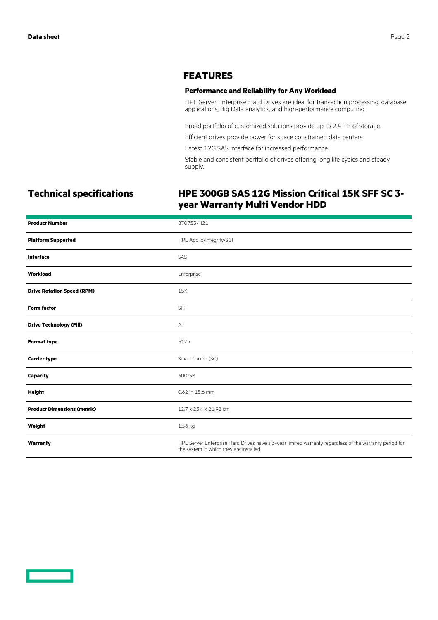### **FEATURES**

### **Performance and Reliability for Any Workload**

HPE Server Enterprise Hard Drives are ideal for transaction processing, database applications, Big Data analytics, and high-performance computing.

Broad portfolio of customized solutions provide up to 2.4 TB of storage.

Efficient drives provide power for space constrained data centers.

Latest 12G SAS interface for increased performance.

Stable and consistent portfolio of drives offering long life cycles and steady supply.

## **Technical specifications HPE 300GB SAS 12G Mission Critical 15K SFF SC 3 year Warranty Multi Vendor HDD**

| <b>Product Number</b>              | 870753-H21                                                                                                                                        |
|------------------------------------|---------------------------------------------------------------------------------------------------------------------------------------------------|
| <b>Platform Supported</b>          | HPE Apollo/Integrity/SGI                                                                                                                          |
| <b>Interface</b>                   | SAS                                                                                                                                               |
| Workload                           | Enterprise                                                                                                                                        |
| <b>Drive Rotation Speed (RPM)</b>  | 15K                                                                                                                                               |
| <b>Form factor</b>                 | SFF                                                                                                                                               |
| <b>Drive Technology (Fill)</b>     | Air                                                                                                                                               |
| <b>Format type</b>                 | 512n                                                                                                                                              |
| <b>Carrier type</b>                | Smart Carrier (SC)                                                                                                                                |
| Capacity                           | 300 GB                                                                                                                                            |
| <b>Height</b>                      | 0.62 in 15.6 mm                                                                                                                                   |
| <b>Product Dimensions (metric)</b> | 12.7 x 25.4 x 21.92 cm                                                                                                                            |
| Weight                             | 1.36 kg                                                                                                                                           |
| Warranty                           | HPE Server Enterprise Hard Drives have a 3-year limited warranty regardless of the warranty period for<br>the system in which they are installed. |